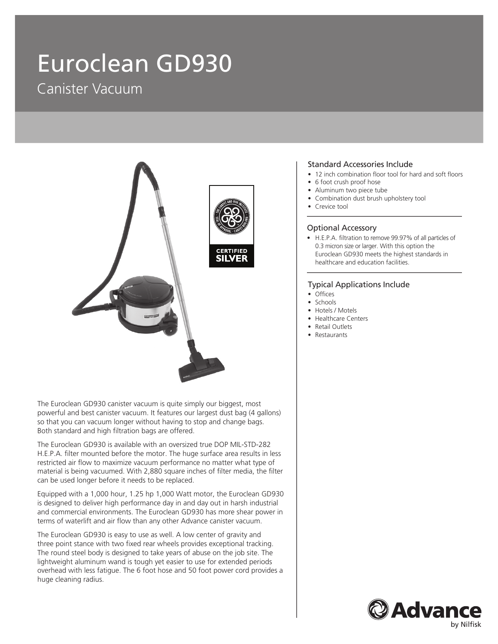# Euroclean GD930 Canister Vacuum



The Euroclean GD930 canister vacuum is quite simply our biggest, most powerful and best canister vacuum. It features our largest dust bag (4 gallons) so that you can vacuum longer without having to stop and change bags. Both standard and high filtration bags are offered.

The Euroclean GD930 is available with an oversized true DOP MIL-STD-282 H.E.P.A. filter mounted before the motor. The huge surface area results in less restricted air flow to maximize vacuum performance no matter what type of material is being vacuumed. With 2,880 square inches of filter media, the filter can be used longer before it needs to be replaced.

Equipped with a 1,000 hour, 1.25 hp 1,000 Watt motor, the Euroclean GD930 is designed to deliver high performance day in and day out in harsh industrial and commercial environments. The Euroclean GD930 has more shear power in terms of waterlift and air flow than any other Advance canister vacuum.

The Euroclean GD930 is easy to use as well. A low center of gravity and three point stance with two fixed rear wheels provides exceptional tracking. The round steel body is designed to take years of abuse on the job site. The lightweight aluminum wand is tough yet easier to use for extended periods overhead with less fatigue. The 6 foot hose and 50 foot power cord provides a huge cleaning radius.

#### Standard Accessories Include

- 12 inch combination floor tool for hard and soft floors
- 6 foot crush proof hose
- Aluminum two piece tube
- Combination dust brush upholstery tool
- Crevice tool

### Optional Accessory

• H.E.P.A. filtration to remove 99.97% of all particles of 0.3 micron size or larger. With this option the Euroclean GD930 meets the highest standards in healthcare and education facilities.

### Typical Applications Include

- Offices
- Schools
- Hotels / Motels
- Healthcare Centers
- Retail Outlets
- Restaurants